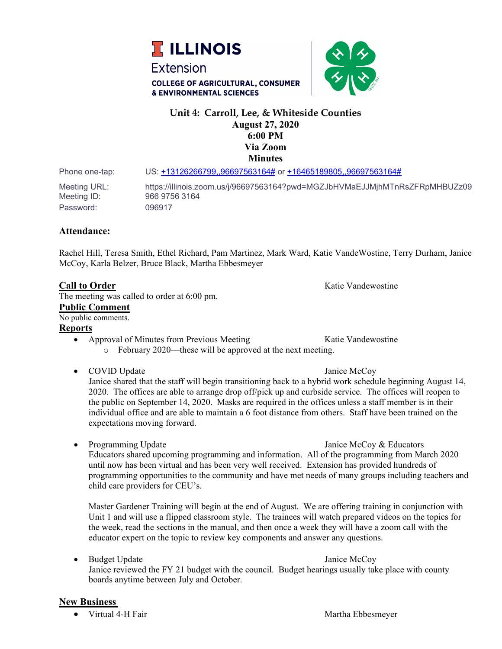



# **Unit 4: Carroll, Lee, & Whiteside Counties August 27, 2020 6:00 PM Via Zoom Minutes**

Phone one-tap: US: [+13126266799,,96697563164#](tel:+13126266799,,96697563164) or [+16465189805,,96697563164#](tel:+16465189805,,96697563164)

Meeting URL: <https://illinois.zoom.us/j/96697563164?pwd=MGZJbHVMaEJJMjhMTnRsZFRpMHBUZz09> Meeting ID: 966 9756 3164 Password: 096917

### **Attendance:**

Rachel Hill, Teresa Smith, Ethel Richard, Pam Martinez, Mark Ward, Katie VandeWostine, Terry Durham, Janice McCoy, Karla Belzer, Bruce Black, Martha Ebbesmeyer

### **Call to Order Call to Order Call to Order Katigation Katie Vandewostine Katie Vandewostine**

The meeting was called to order at 6:00 pm.

#### **Public Comment**

No public comments.

# **Reports**

- Approval of Minutes from Previous Meeting Katie Vandewostine o February 2020—these will be approved at the next meeting.
- COVID Update Janice McCoy

Janice shared that the staff will begin transitioning back to a hybrid work schedule beginning August 14, 2020. The offices are able to arrange drop off/pick up and curbside service. The offices will reopen to the public on September 14, 2020. Masks are required in the offices unless a staff member is in their individual office and are able to maintain a 6 foot distance from others. Staff have been trained on the expectations moving forward.

• Programming Update Janice McCoy & Educators Educators shared upcoming programming and information. All of the programming from March 2020 until now has been virtual and has been very well received. Extension has provided hundreds of programming opportunities to the community and have met needs of many groups including teachers and child care providers for CEU's.

Master Gardener Training will begin at the end of August. We are offering training in conjunction with Unit 1 and will use a flipped classroom style. The trainees will watch prepared videos on the topics for the week, read the sections in the manual, and then once a week they will have a zoom call with the educator expert on the topic to review key components and answer any questions.

• Budget Update Janice McCoy Janice reviewed the FY 21 budget with the council. Budget hearings usually take place with county boards anytime between July and October.

# **New Business**

• Virtual 4-H Fair Martha Ebbesmeyer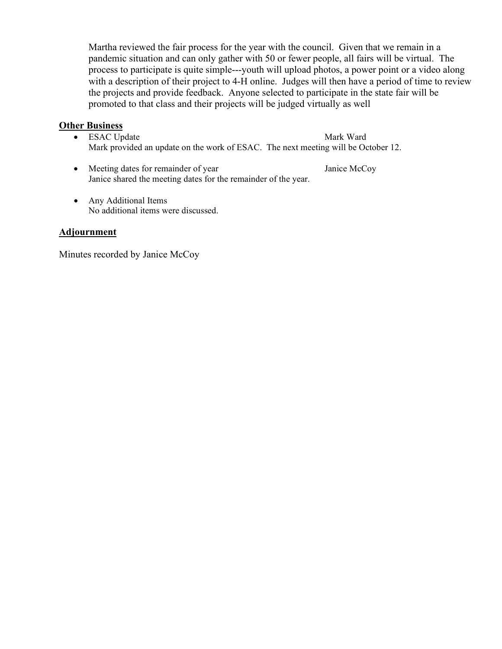Martha reviewed the fair process for the year with the council. Given that we remain in a pandemic situation and can only gather with 50 or fewer people, all fairs will be virtual. The process to participate is quite simple---youth will upload photos, a power point or a video along with a description of their project to 4-H online. Judges will then have a period of time to review the projects and provide feedback. Anyone selected to participate in the state fair will be promoted to that class and their projects will be judged virtually as well

# **Other Business**

- ESAC Update Mark Ward Mark provided an update on the work of ESAC. The next meeting will be October 12.
- Meeting dates for remainder of year Janice McCoy Janice shared the meeting dates for the remainder of the year.
- Any Additional Items No additional items were discussed.

# **Adjournment**

Minutes recorded by Janice McCoy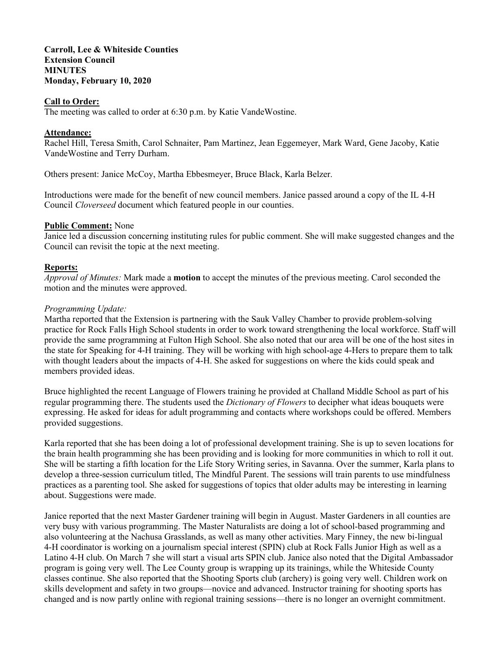#### **Carroll, Lee & Whiteside Counties Extension Council MINUTES Monday, February 10, 2020**

#### **Call to Order:**

The meeting was called to order at 6:30 p.m. by Katie VandeWostine.

#### **Attendance:**

Rachel Hill, Teresa Smith, Carol Schnaiter, Pam Martinez, Jean Eggemeyer, Mark Ward, Gene Jacoby, Katie VandeWostine and Terry Durham.

Others present: Janice McCoy, Martha Ebbesmeyer, Bruce Black, Karla Belzer.

Introductions were made for the benefit of new council members. Janice passed around a copy of the IL 4-H Council *Cloverseed* document which featured people in our counties.

### **Public Comment:** None

Janice led a discussion concerning instituting rules for public comment. She will make suggested changes and the Council can revisit the topic at the next meeting.

#### **Reports:**

*Approval of Minutes:* Mark made a **motion** to accept the minutes of the previous meeting. Carol seconded the motion and the minutes were approved.

#### *Programming Update:*

Martha reported that the Extension is partnering with the Sauk Valley Chamber to provide problem-solving practice for Rock Falls High School students in order to work toward strengthening the local workforce. Staff will provide the same programming at Fulton High School. She also noted that our area will be one of the host sites in the state for Speaking for 4-H training. They will be working with high school-age 4-Hers to prepare them to talk with thought leaders about the impacts of 4-H. She asked for suggestions on where the kids could speak and members provided ideas.

Bruce highlighted the recent Language of Flowers training he provided at Challand Middle School as part of his regular programming there. The students used the *Dictionary of Flowers* to decipher what ideas bouquets were expressing. He asked for ideas for adult programming and contacts where workshops could be offered. Members provided suggestions.

Karla reported that she has been doing a lot of professional development training. She is up to seven locations for the brain health programming she has been providing and is looking for more communities in which to roll it out. She will be starting a fifth location for the Life Story Writing series, in Savanna. Over the summer, Karla plans to develop a three-session curriculum titled, The Mindful Parent. The sessions will train parents to use mindfulness practices as a parenting tool. She asked for suggestions of topics that older adults may be interesting in learning about. Suggestions were made.

Janice reported that the next Master Gardener training will begin in August. Master Gardeners in all counties are very busy with various programming. The Master Naturalists are doing a lot of school-based programming and also volunteering at the Nachusa Grasslands, as well as many other activities. Mary Finney, the new bi-lingual 4-H coordinator is working on a journalism special interest (SPIN) club at Rock Falls Junior High as well as a Latino 4-H club. On March 7 she will start a visual arts SPIN club. Janice also noted that the Digital Ambassador program is going very well. The Lee County group is wrapping up its trainings, while the Whiteside County classes continue. She also reported that the Shooting Sports club (archery) is going very well. Children work on skills development and safety in two groups—novice and advanced. Instructor training for shooting sports has changed and is now partly online with regional training sessions—there is no longer an overnight commitment.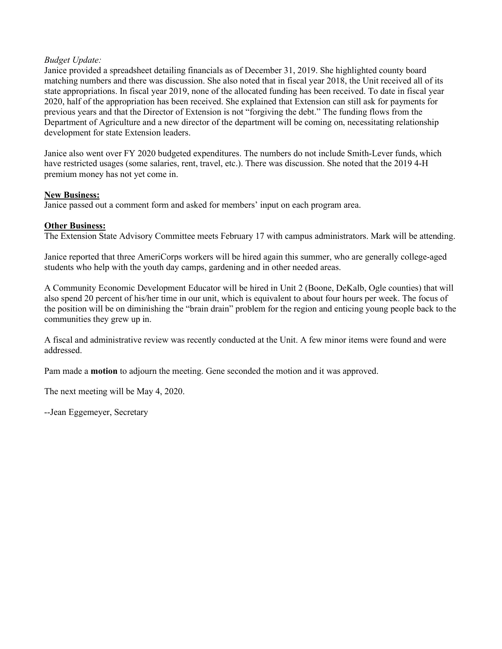### *Budget Update:*

Janice provided a spreadsheet detailing financials as of December 31, 2019. She highlighted county board matching numbers and there was discussion. She also noted that in fiscal year 2018, the Unit received all of its state appropriations. In fiscal year 2019, none of the allocated funding has been received. To date in fiscal year 2020, half of the appropriation has been received. She explained that Extension can still ask for payments for previous years and that the Director of Extension is not "forgiving the debt." The funding flows from the Department of Agriculture and a new director of the department will be coming on, necessitating relationship development for state Extension leaders.

Janice also went over FY 2020 budgeted expenditures. The numbers do not include Smith-Lever funds, which have restricted usages (some salaries, rent, travel, etc.). There was discussion. She noted that the 2019 4-H premium money has not yet come in.

#### **New Business:**

Janice passed out a comment form and asked for members' input on each program area.

# **Other Business:**

The Extension State Advisory Committee meets February 17 with campus administrators. Mark will be attending.

Janice reported that three AmeriCorps workers will be hired again this summer, who are generally college-aged students who help with the youth day camps, gardening and in other needed areas.

A Community Economic Development Educator will be hired in Unit 2 (Boone, DeKalb, Ogle counties) that will also spend 20 percent of his/her time in our unit, which is equivalent to about four hours per week. The focus of the position will be on diminishing the "brain drain" problem for the region and enticing young people back to the communities they grew up in.

A fiscal and administrative review was recently conducted at the Unit. A few minor items were found and were addressed.

Pam made a **motion** to adjourn the meeting. Gene seconded the motion and it was approved.

The next meeting will be May 4, 2020.

--Jean Eggemeyer, Secretary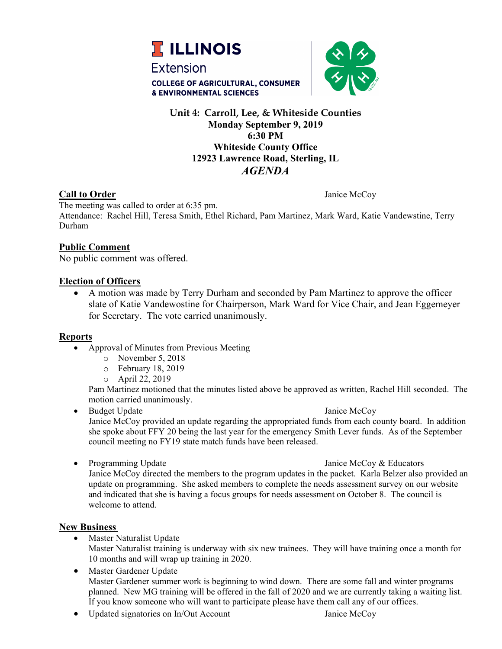



# **Unit 4: Carroll, Lee, & Whiteside Counties Monday September 9, 2019 6:30 PM Whiteside County Office 12923 Lawrence Road, Sterling, IL** *AGENDA*

# **Call to Order** Janice McCoy

The meeting was called to order at 6:35 pm. Attendance: Rachel Hill, Teresa Smith, Ethel Richard, Pam Martinez, Mark Ward, Katie Vandewstine, Terry Durham

# **Public Comment**

No public comment was offered.

# **Election of Officers**

• A motion was made by Terry Durham and seconded by Pam Martinez to approve the officer slate of Katie Vandewostine for Chairperson, Mark Ward for Vice Chair, and Jean Eggemeyer for Secretary. The vote carried unanimously.

# **Reports**

- Approval of Minutes from Previous Meeting
	- o November 5, 2018
	- o February 18, 2019
	- o April 22, 2019

Pam Martinez motioned that the minutes listed above be approved as written, Rachel Hill seconded. The motion carried unanimously.

- Budget Update Janice McCoy Janice McCoy provided an update regarding the appropriated funds from each county board. In addition she spoke about FFY 20 being the last year for the emergency Smith Lever funds. As of the September council meeting no FY19 state match funds have been released.
- 

• Programming Update Janice McCoy & Educators Janice McCoy directed the members to the program updates in the packet. Karla Belzer also provided an update on programming. She asked members to complete the needs assessment survey on our website and indicated that she is having a focus groups for needs assessment on October 8. The council is welcome to attend.

# **New Business**

- Master Naturalist Update Master Naturalist training is underway with six new trainees. They will have training once a month for 10 months and will wrap up training in 2020.
- Master Gardener Update Master Gardener summer work is beginning to wind down. There are some fall and winter programs planned. New MG training will be offered in the fall of 2020 and we are currently taking a waiting list. If you know someone who will want to participate please have them call any of our offices.
- Updated signatories on In/Out Account Janice McCoy
- 
-